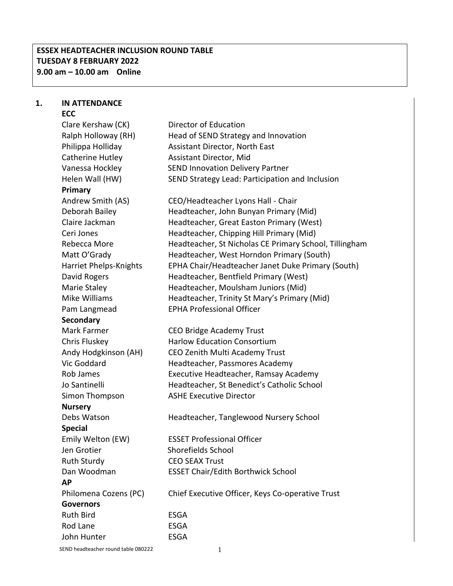## **ESSEX HEADTEACHER INCLUSION ROUND TABLE TUESDAY 8 FEBRUARY 2022 9.00 am – 10.00 am Online**

#### **1. IN ATTENDANCE ECC**

Clare Kershaw (CK) Director of Education Ralph Holloway (RH) Head of SEND Strategy and Innovation Philippa Holliday Assistant Director, North East Catherine Hutley Assistant Director, Mid Vanessa Hockley SEND Innovation Delivery Partner Helen Wall (HW) SEND Strategy Lead: Participation and Inclusion **Primary** Andrew Smith (AS) CEO/Headteacher Lyons Hall - Chair Deborah Bailey Headteacher, John Bunyan Primary (Mid) Claire Jackman Headteacher, Great Easton Primary (West) Ceri Jones Headteacher, Chipping Hill Primary (Mid) Rebecca More Headteacher, St Nicholas CE Primary School, Tillingham Matt O'Grady **Headteacher, West Horndon Primary (South)** Harriet Phelps-Knights EPHA Chair/Headteacher Janet Duke Primary (South) David Rogers **Headteacher, Bentfield Primary (West)** Marie Staley **Headteacher, Moulsham Juniors (Mid)** Mike Williams Headteacher, Trinity St Mary's Primary (Mid) Pam Langmead EPHA Professional Officer **Secondary** Mark Farmer CEO Bridge Academy Trust Chris Fluskey Harlow Education Consortium Andy Hodgkinson (AH) CEO Zenith Multi Academy Trust Vic Goddard Headteacher, Passmores Academy Rob James Executive Headteacher, Ramsay Academy Jo Santinelli Headteacher, St Benedict's Catholic School Simon Thompson ASHE Executive Director **Nursery** Debs Watson **Headteacher, Tanglewood Nursery School Special**  Emily Welton (EW) ESSET Professional Officer Jen Grotier Shorefields School Ruth Sturdy CEO SEAX Trust Dan Woodman ESSET Chair/Edith Borthwick School **AP** Philomena Cozens (PC) Chief Executive Officer, Keys Co-operative Trust **Governors** Ruth Bird **ESGA** Rod Lane **ESGA** John Hunter ESGA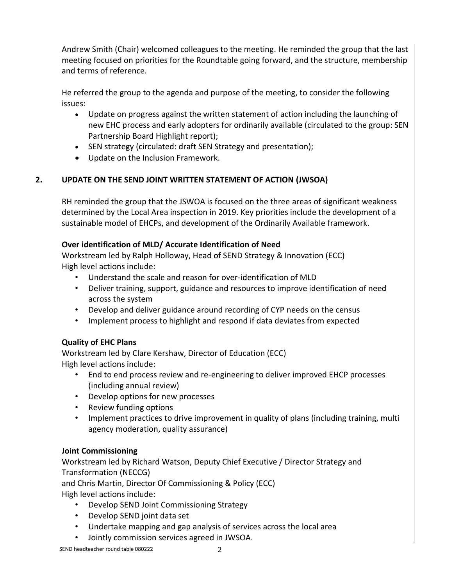Andrew Smith (Chair) welcomed colleagues to the meeting. He reminded the group that the last meeting focused on priorities for the Roundtable going forward, and the structure, membership and terms of reference.

He referred the group to the agenda and purpose of the meeting, to consider the following issues:

- Update on progress against the written statement of action including the launching of new EHC process and early adopters for ordinarily available (circulated to the group: SEN Partnership Board Highlight report);
- SEN strategy (circulated: draft SEN Strategy and presentation);
- Update on the Inclusion Framework.

## **2. UPDATE ON THE SEND JOINT WRITTEN STATEMENT OF ACTION (JWSOA)**

RH reminded the group that the JSWOA is focused on the three areas of significant weakness determined by the Local Area inspection in 2019. Key priorities include the development of a sustainable model of EHCPs, and development of the Ordinarily Available framework.

## **Over identification of MLD/ Accurate Identification of Need**

Workstream led by Ralph Holloway, Head of SEND Strategy & Innovation (ECC) High level actions include:

- Understand the scale and reason for over-identification of MLD
- Deliver training, support, guidance and resources to improve identification of need across the system
- Develop and deliver guidance around recording of CYP needs on the census
- Implement process to highlight and respond if data deviates from expected

# **Quality of EHC Plans**

Workstream led by Clare Kershaw, Director of Education (ECC) High level actions include:

- End to end process review and re-engineering to deliver improved EHCP processes (including annual review)
- Develop options for new processes
- Review funding options
- Implement practices to drive improvement in quality of plans (including training, multi agency moderation, quality assurance)

## **Joint Commissioning**

Workstream led by Richard Watson, Deputy Chief Executive / Director Strategy and Transformation (NECCG)

and Chris Martin, Director Of Commissioning & Policy (ECC)

High level actions include:

- Develop SEND Joint Commissioning Strategy
- Develop SEND joint data set
- Undertake mapping and gap analysis of services across the local area
- Jointly commission services agreed in JWSOA.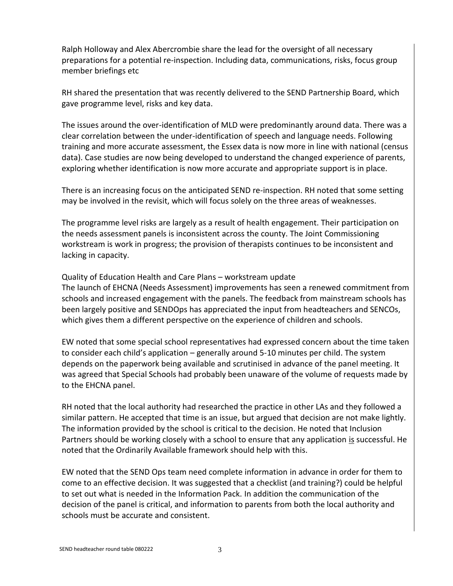Ralph Holloway and Alex Abercrombie share the lead for the oversight of all necessary preparations for a potential re-inspection. Including data, communications, risks, focus group member briefings etc

RH shared the presentation that was recently delivered to the SEND Partnership Board, which gave programme level, risks and key data.

The issues around the over-identification of MLD were predominantly around data. There was a clear correlation between the under-identification of speech and language needs. Following training and more accurate assessment, the Essex data is now more in line with national (census data). Case studies are now being developed to understand the changed experience of parents, exploring whether identification is now more accurate and appropriate support is in place.

There is an increasing focus on the anticipated SEND re-inspection. RH noted that some setting may be involved in the revisit, which will focus solely on the three areas of weaknesses.

The programme level risks are largely as a result of health engagement. Their participation on the needs assessment panels is inconsistent across the county. The Joint Commissioning workstream is work in progress; the provision of therapists continues to be inconsistent and lacking in capacity.

Quality of Education Health and Care Plans – workstream update

The launch of EHCNA (Needs Assessment) improvements has seen a renewed commitment from schools and increased engagement with the panels. The feedback from mainstream schools has been largely positive and SENDOps has appreciated the input from headteachers and SENCOs, which gives them a different perspective on the experience of children and schools.

EW noted that some special school representatives had expressed concern about the time taken to consider each child's application – generally around 5-10 minutes per child. The system depends on the paperwork being available and scrutinised in advance of the panel meeting. It was agreed that Special Schools had probably been unaware of the volume of requests made by to the EHCNA panel.

RH noted that the local authority had researched the practice in other LAs and they followed a similar pattern. He accepted that time is an issue, but argued that decision are not make lightly. The information provided by the school is critical to the decision. He noted that Inclusion Partners should be working closely with a school to ensure that any application is successful. He noted that the Ordinarily Available framework should help with this.

EW noted that the SEND Ops team need complete information in advance in order for them to come to an effective decision. It was suggested that a checklist (and training?) could be helpful to set out what is needed in the Information Pack. In addition the communication of the decision of the panel is critical, and information to parents from both the local authority and schools must be accurate and consistent.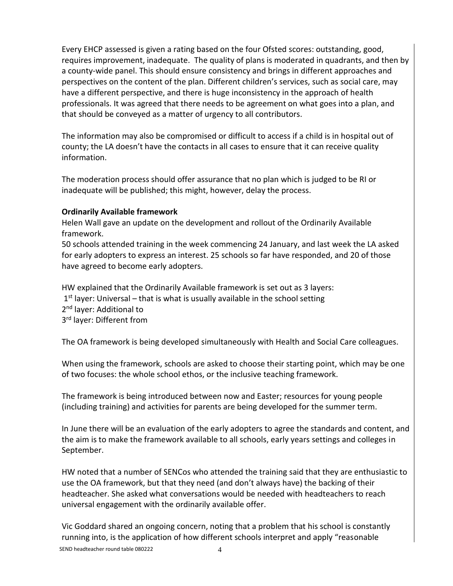Every EHCP assessed is given a rating based on the four Ofsted scores: outstanding, good, requires improvement, inadequate. The quality of plans is moderated in quadrants, and then by a county-wide panel. This should ensure consistency and brings in different approaches and perspectives on the content of the plan. Different children's services, such as social care, may have a different perspective, and there is huge inconsistency in the approach of health professionals. It was agreed that there needs to be agreement on what goes into a plan, and that should be conveyed as a matter of urgency to all contributors.

The information may also be compromised or difficult to access if a child is in hospital out of county; the LA doesn't have the contacts in all cases to ensure that it can receive quality information.

The moderation process should offer assurance that no plan which is judged to be RI or inadequate will be published; this might, however, delay the process.

## **Ordinarily Available framework**

Helen Wall gave an update on the development and rollout of the Ordinarily Available framework.

50 schools attended training in the week commencing 24 January, and last week the LA asked for early adopters to express an interest. 25 schools so far have responded, and 20 of those have agreed to become early adopters.

HW explained that the Ordinarily Available framework is set out as 3 layers:

1<sup>st</sup> layer: Universal – that is what is usually available in the school setting

2<sup>nd</sup> layer: Additional to

3<sup>rd</sup> layer: Different from

The OA framework is being developed simultaneously with Health and Social Care colleagues.

When using the framework, schools are asked to choose their starting point, which may be one of two focuses: the whole school ethos, or the inclusive teaching framework.

The framework is being introduced between now and Easter; resources for young people (including training) and activities for parents are being developed for the summer term.

In June there will be an evaluation of the early adopters to agree the standards and content, and the aim is to make the framework available to all schools, early years settings and colleges in September.

HW noted that a number of SENCos who attended the training said that they are enthusiastic to use the OA framework, but that they need (and don't always have) the backing of their headteacher. She asked what conversations would be needed with headteachers to reach universal engagement with the ordinarily available offer.

SEND headteacher round table 080222 4 Vic Goddard shared an ongoing concern, noting that a problem that his school is constantly running into, is the application of how different schools interpret and apply "reasonable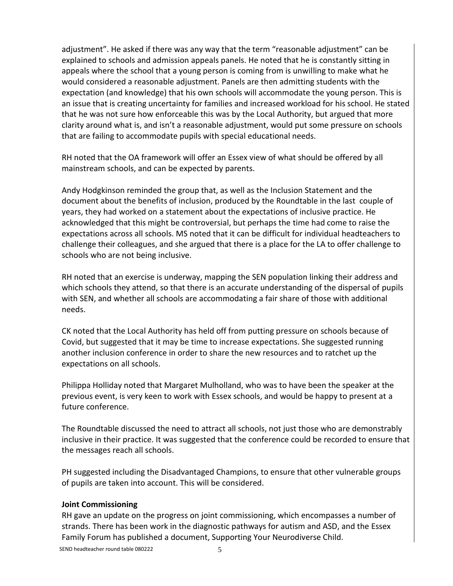adjustment". He asked if there was any way that the term "reasonable adjustment" can be explained to schools and admission appeals panels. He noted that he is constantly sitting in appeals where the school that a young person is coming from is unwilling to make what he would considered a reasonable adjustment. Panels are then admitting students with the expectation (and knowledge) that his own schools will accommodate the young person. This is an issue that is creating uncertainty for families and increased workload for his school. He stated that he was not sure how enforceable this was by the Local Authority, but argued that more clarity around what is, and isn't a reasonable adjustment, would put some pressure on schools that are failing to accommodate pupils with special educational needs.

RH noted that the OA framework will offer an Essex view of what should be offered by all mainstream schools, and can be expected by parents.

Andy Hodgkinson reminded the group that, as well as the Inclusion Statement and the document about the benefits of inclusion, produced by the Roundtable in the last couple of years, they had worked on a statement about the expectations of inclusive practice. He acknowledged that this might be controversial, but perhaps the time had come to raise the expectations across all schools. MS noted that it can be difficult for individual headteachers to challenge their colleagues, and she argued that there is a place for the LA to offer challenge to schools who are not being inclusive.

RH noted that an exercise is underway, mapping the SEN population linking their address and which schools they attend, so that there is an accurate understanding of the dispersal of pupils with SEN, and whether all schools are accommodating a fair share of those with additional needs.

CK noted that the Local Authority has held off from putting pressure on schools because of Covid, but suggested that it may be time to increase expectations. She suggested running another inclusion conference in order to share the new resources and to ratchet up the expectations on all schools.

Philippa Holliday noted that Margaret Mulholland, who was to have been the speaker at the previous event, is very keen to work with Essex schools, and would be happy to present at a future conference.

The Roundtable discussed the need to attract all schools, not just those who are demonstrably inclusive in their practice. It was suggested that the conference could be recorded to ensure that the messages reach all schools.

PH suggested including the Disadvantaged Champions, to ensure that other vulnerable groups of pupils are taken into account. This will be considered.

## **Joint Commissioning**

RH gave an update on the progress on joint commissioning, which encompasses a number of strands. There has been work in the diagnostic pathways for autism and ASD, and the Essex Family Forum has published a document, Supporting Your Neurodiverse Child.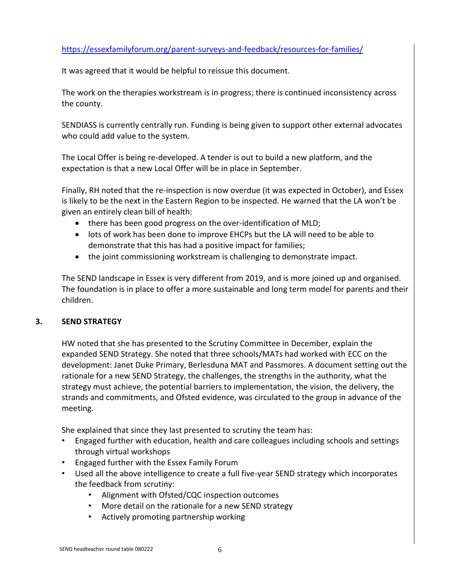## <https://essexfamilyforum.org/parent-surveys-and-feedback/resources-for-families/>

It was agreed that it would be helpful to reissue this document.

The work on the therapies workstream is in progress; there is continued inconsistency across the county.

SENDIASS is currently centrally run. Funding is being given to support other external advocates who could add value to the system.

The Local Offer is being re-developed. A tender is out to build a new platform, and the expectation is that a new Local Offer will be in place in September.

Finally, RH noted that the re-inspection is now overdue (it was expected in October), and Essex is likely to be the next in the Eastern Region to be inspected. He warned that the LA won't be given an entirely clean bill of health:

- there has been good progress on the over-identification of MLD;
- lots of work has been done to improve EHCPs but the LA will need to be able to demonstrate that this has had a positive impact for families;
- the joint commissioning workstream is challenging to demonstrate impact.

The SEND landscape in Essex is very different from 2019, and is more joined up and organised. The foundation is in place to offer a more sustainable and long term model for parents and their children.

## **3. SEND STRATEGY**

HW noted that she has presented to the Scrutiny Committee in December, explain the expanded SEND Strategy. She noted that three schools/MATs had worked with ECC on the development: Janet Duke Primary, Berlesduna MAT and Passmores. A document setting out the rationale for a new SEND Strategy, the challenges, the strengths in the authority, what the strategy must achieve, the potential barriers to implementation, the vision, the delivery, the strands and commitments, and Ofsted evidence, was circulated to the group in advance of the meeting.

She explained that since they last presented to scrutiny the team has:

- Engaged further with education, health and care colleagues including schools and settings through virtual workshops
- Engaged further with the Essex Family Forum
- Used all the above intelligence to create a full five-year SEND strategy which incorporates the feedback from scrutiny:
	- Alignment with Ofsted/CQC inspection outcomes
	- More detail on the rationale for a new SEND strategy
	- Actively promoting partnership working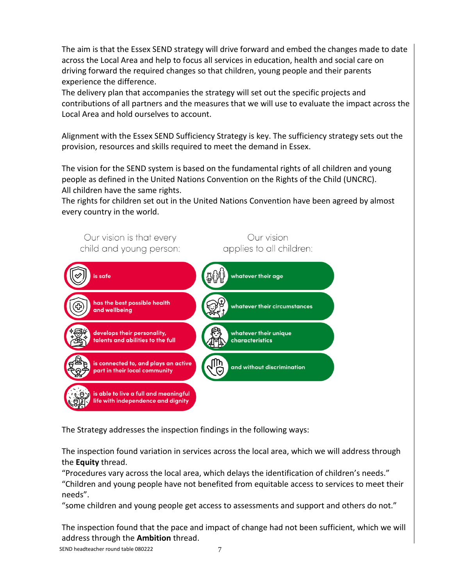The aim is that the Essex SEND strategy will drive forward and embed the changes made to date across the Local Area and help to focus all services in education, health and social care on driving forward the required changes so that children, young people and their parents experience the difference.

The delivery plan that accompanies the strategy will set out the specific projects and contributions of all partners and the measures that we will use to evaluate the impact across the Local Area and hold ourselves to account.

Alignment with the Essex SEND Sufficiency Strategy is key. The sufficiency strategy sets out the provision, resources and skills required to meet the demand in Essex.

The vision for the SEND system is based on the fundamental rights of all children and young people as defined in the United Nations Convention on the Rights of the Child (UNCRC). All children have the same rights.

The rights for children set out in the United Nations Convention have been agreed by almost every country in the world.



The Strategy addresses the inspection findings in the following ways:

The inspection found variation in services across the local area, which we will address through the **Equity** thread.

"Procedures vary across the local area, which delays the identification of children's needs." "Children and young people have not benefited from equitable access to services to meet their needs".

"some children and young people get access to assessments and support and others do not."

The inspection found that the pace and impact of change had not been sufficient, which we will address through the **Ambition** thread.